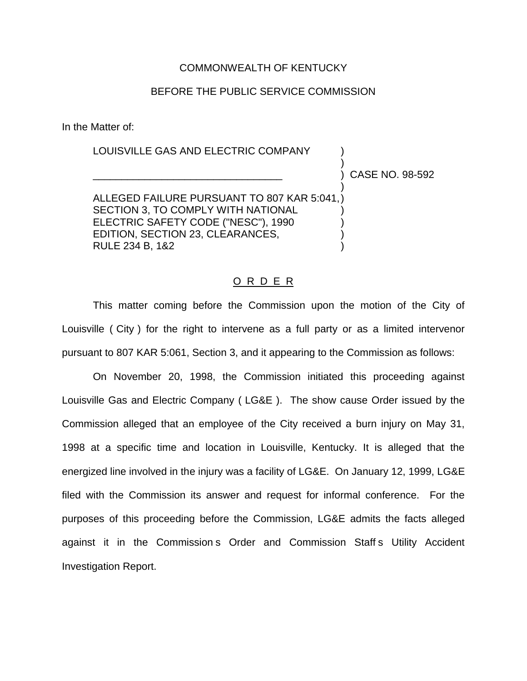## COMMONWEALTH OF KENTUCKY

## BEFORE THE PUBLIC SERVICE COMMISSION

In the Matter of:

# LOUISVILLE GAS AND ELECTRIC COMPANY ) ) ALLEGED FAILURE PURSUANT TO 807 KAR 5:041,)

\_\_\_\_\_\_\_\_\_\_\_\_\_\_\_\_\_\_\_\_\_\_\_\_\_\_\_\_\_\_\_\_\_ ) CASE NO. 98-592

SECTION 3, TO COMPLY WITH NATIONAL ELECTRIC SAFETY CODE ("NESC"), 1990 EDITION, SECTION 23, CLEARANCES, RULE 234 B, 1&2 )

#### O R D E R

This matter coming before the Commission upon the motion of the City of Louisville ( City ) for the right to intervene as a full party or as a limited intervenor pursuant to 807 KAR 5:061, Section 3, and it appearing to the Commission as follows:

On November 20, 1998, the Commission initiated this proceeding against Louisville Gas and Electric Company ( LG&E ). The show cause Order issued by the Commission alleged that an employee of the City received a burn injury on May 31, 1998 at a specific time and location in Louisville, Kentucky. It is alleged that the energized line involved in the injury was a facility of LG&E. On January 12, 1999, LG&E filed with the Commission its answer and request for informal conference. For the purposes of this proceeding before the Commission, LG&E admits the facts alleged against it in the Commission s Order and Commission Staff s Utility Accident Investigation Report.